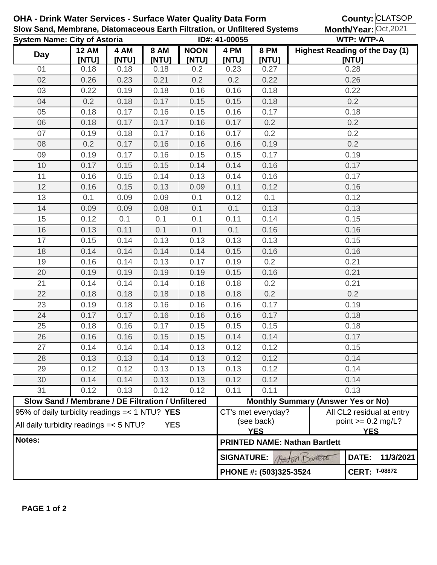|                                     |                                                                                                         |               |                      |                      | OHA - Drink Water Services - Surface Water Quality Data Form<br>Slow Sand, Membrane, Diatomaceous Earth Filtration, or Unfiltered Systems |                                            |                                                                                                                   | <b>County: CLATSOP</b><br>Month/Year: Oct, 2021 |  |  |
|-------------------------------------|---------------------------------------------------------------------------------------------------------|---------------|----------------------|----------------------|-------------------------------------------------------------------------------------------------------------------------------------------|--------------------------------------------|-------------------------------------------------------------------------------------------------------------------|-------------------------------------------------|--|--|
| <b>System Name: City of Astoria</b> |                                                                                                         |               |                      |                      | ID#: 41-00055                                                                                                                             |                                            |                                                                                                                   | <b>WTP: WTP-A</b>                               |  |  |
| <b>Day</b>                          | <b>12 AM</b><br>[NTU]                                                                                   | 4 AM<br>[NTU] | <b>8 AM</b><br>[NTU] | <b>NOON</b><br>[NTU] | 4 PM<br>[NTU]                                                                                                                             | <b>8 PM</b><br>[NTU]                       |                                                                                                                   | <b>Highest Reading of the Day (1)</b><br>[NTU]  |  |  |
| 01                                  | 0.18                                                                                                    | 0.18          | 0.18                 | 0.2                  | 0.23                                                                                                                                      | 0.27                                       |                                                                                                                   | 0.28                                            |  |  |
| 02                                  | 0.26                                                                                                    | 0.23          | 0.21                 | 0.2                  | 0.2                                                                                                                                       | 0.22                                       |                                                                                                                   | 0.26                                            |  |  |
| 03                                  | 0.22                                                                                                    | 0.19          | 0.18                 | 0.16                 | 0.16                                                                                                                                      | 0.18                                       |                                                                                                                   | 0.22                                            |  |  |
| 04                                  | 0.2                                                                                                     | 0.18          | 0.17                 | 0.15                 | 0.15                                                                                                                                      | 0.18                                       | 0.2                                                                                                               |                                                 |  |  |
| 05                                  | 0.18                                                                                                    | 0.17          | 0.16                 | 0.15                 | 0.16                                                                                                                                      | 0.17                                       | 0.18                                                                                                              |                                                 |  |  |
| 06                                  | 0.18                                                                                                    | 0.17          | 0.17                 | 0.16                 | 0.17                                                                                                                                      | 0.2                                        | 0.2                                                                                                               |                                                 |  |  |
| 07                                  | 0.19                                                                                                    | 0.18          | 0.17                 | 0.16                 | 0.17                                                                                                                                      | 0.2                                        | 0.2                                                                                                               |                                                 |  |  |
| 08                                  | 0.2                                                                                                     | 0.17          | 0.16                 | 0.16                 | 0.16                                                                                                                                      | 0.19                                       | 0.2                                                                                                               |                                                 |  |  |
| 09                                  | 0.19                                                                                                    | 0.17          | 0.16                 | 0.15                 | 0.15                                                                                                                                      | 0.17                                       | 0.19                                                                                                              |                                                 |  |  |
| 10                                  | 0.17                                                                                                    | 0.15          | 0.15                 | 0.14                 | 0.14                                                                                                                                      | 0.16                                       |                                                                                                                   | 0.17                                            |  |  |
| 11                                  | 0.16                                                                                                    | 0.15          | 0.14                 | 0.13                 | 0.14                                                                                                                                      | 0.16                                       | 0.17                                                                                                              |                                                 |  |  |
| 12                                  | 0.16                                                                                                    | 0.15          | 0.13                 | 0.09                 | 0.11                                                                                                                                      | 0.12                                       |                                                                                                                   | 0.16                                            |  |  |
| 13                                  | 0.1                                                                                                     | 0.09          | 0.09                 | 0.1                  | 0.12                                                                                                                                      | 0.1                                        |                                                                                                                   | 0.12                                            |  |  |
| 14                                  | 0.09                                                                                                    | 0.09          | 0.08                 | 0.1                  | 0.1                                                                                                                                       | 0.13                                       |                                                                                                                   | 0.13                                            |  |  |
| 15                                  | 0.12                                                                                                    | 0.1           | 0.1                  | 0.1                  | 0.11                                                                                                                                      | 0.14                                       |                                                                                                                   | 0.15                                            |  |  |
| 16                                  | 0.13                                                                                                    | 0.11          | 0.1                  | 0.1                  | 0.1                                                                                                                                       | 0.16                                       |                                                                                                                   | 0.16                                            |  |  |
| 17                                  | 0.15                                                                                                    | 0.14          | 0.13                 | 0.13                 | 0.13                                                                                                                                      | 0.13                                       |                                                                                                                   | 0.15                                            |  |  |
| 18                                  | 0.14                                                                                                    | 0.14          | 0.14                 | 0.14                 | 0.15                                                                                                                                      | 0.16                                       |                                                                                                                   | 0.16                                            |  |  |
| 19                                  | 0.16                                                                                                    | 0.14          | 0.13                 | 0.17                 | 0.19                                                                                                                                      | 0.2                                        | 0.21                                                                                                              |                                                 |  |  |
| 20                                  | 0.19                                                                                                    | 0.19          | 0.19                 | 0.19                 | 0.15                                                                                                                                      | 0.16                                       | 0.21                                                                                                              |                                                 |  |  |
| 21                                  | 0.14                                                                                                    | 0.14          | 0.14                 | 0.18                 | 0.18                                                                                                                                      | 0.2                                        | 0.21                                                                                                              |                                                 |  |  |
| 22                                  | 0.18                                                                                                    | 0.18          | 0.18                 | 0.18                 | 0.18                                                                                                                                      | 0.2                                        | 0.2                                                                                                               |                                                 |  |  |
| 23                                  | 0.19                                                                                                    | 0.18          | 0.16                 | 0.16                 | 0.16                                                                                                                                      | 0.17                                       | 0.19                                                                                                              |                                                 |  |  |
| 24                                  | 0.17                                                                                                    | 0.17          | 0.16                 | 0.16                 | 0.16                                                                                                                                      | 0.17                                       | 0.18                                                                                                              |                                                 |  |  |
| 25                                  | 0.18                                                                                                    | 0.16          | 0.17                 | 0.15                 | 0.15                                                                                                                                      | 0.15                                       | 0.18                                                                                                              |                                                 |  |  |
| 26                                  | 0.16                                                                                                    | 0.16          | 0.15                 | 0.15                 | 0.14                                                                                                                                      | 0.14                                       | 0.17                                                                                                              |                                                 |  |  |
| 27                                  | 0.14                                                                                                    | 0.14          | 0.14                 | 0.13                 | 0.12                                                                                                                                      | 0.12                                       | 0.15                                                                                                              |                                                 |  |  |
| 28                                  | 0.13                                                                                                    | 0.13          | 0.14                 | 0.13                 | 0.12                                                                                                                                      | 0.12                                       | 0.14                                                                                                              |                                                 |  |  |
| 29                                  | 0.12                                                                                                    | 0.12          | 0.13                 | 0.13                 | 0.13                                                                                                                                      | 0.12                                       | 0.14                                                                                                              |                                                 |  |  |
| 30                                  | 0.14                                                                                                    | 0.14          | 0.13                 | 0.13                 | 0.12                                                                                                                                      | 0.12                                       | 0.14                                                                                                              |                                                 |  |  |
| 31                                  | 0.12                                                                                                    | 0.13          | 0.12                 | 0.12                 | 0.11                                                                                                                                      | 0.11                                       | 0.13                                                                                                              |                                                 |  |  |
|                                     | Slow Sand / Membrane / DE Filtration / Unfiltered                                                       |               |                      |                      | <b>Monthly Summary (Answer Yes or No)</b>                                                                                                 |                                            |                                                                                                                   |                                                 |  |  |
|                                     | 95% of daily turbidity readings = < 1 NTU? YES<br>All daily turbidity readings = < 5 NTU?<br><b>YES</b> |               |                      |                      |                                                                                                                                           |                                            | CT's met everyday?<br>All CL2 residual at entry<br>(see back)<br>point $>= 0.2$ mg/L?<br><b>YES</b><br><b>YES</b> |                                                 |  |  |
| Notes:                              |                                                                                                         |               |                      |                      |                                                                                                                                           |                                            | <b>PRINTED NAME: Nathan Bartlett</b>                                                                              |                                                 |  |  |
|                                     |                                                                                                         |               |                      |                      |                                                                                                                                           | DATE:<br><b>SIGNATURE:</b><br>totan Danett |                                                                                                                   |                                                 |  |  |
|                                     |                                                                                                         |               |                      |                      |                                                                                                                                           | PHONE #: (503)325-3524                     | <b>CERT: T-08872</b>                                                                                              |                                                 |  |  |